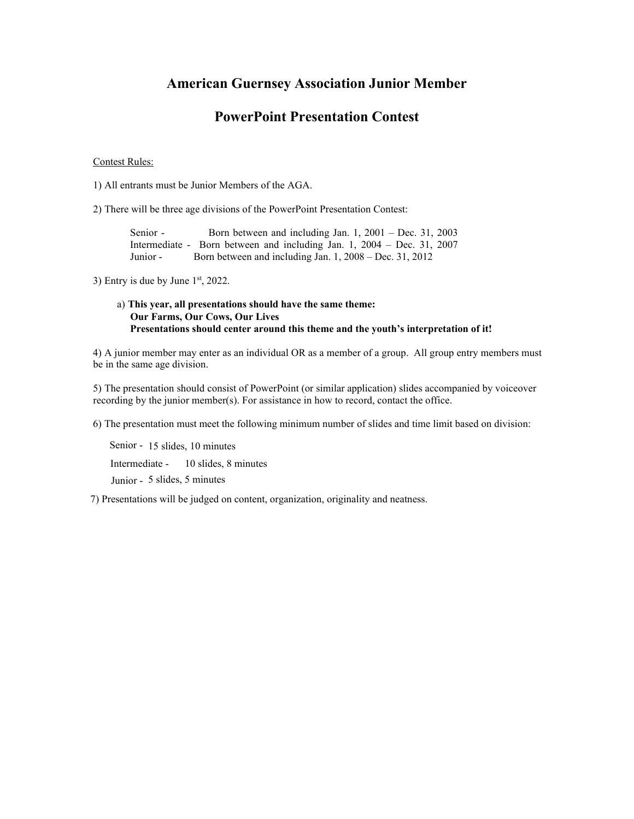### **American Guernsey Association Junior Member**

## **PowerPoint Presentation Contest**

#### Contest Rules:

1) All entrants must be Junior Members of the AGA.

2) There will be three age divisions of the PowerPoint Presentation Contest:

Senior - Born between and including Jan. 1, 2001 – Dec. 31, 2003 Intermediate - Born between and including Jan. 1, 2004 – Dec. 31, 2007 Junior - Born between and including Jan. 1, 2008 – Dec. 31, 2012

3) Entry is due by June  $1<sup>st</sup>$ , 2022.

### a) **This year, all presentations should have the same theme: Our Farms, Our Cows, Our Lives Presentations should center around this theme and the youth's interpretation of it!**

4) A junior member may enter as an individual OR as a member of a group. All group entry members must be in the same age division.

5) The presentation should consist of PowerPoint (or similar application) slides accompanied by voiceover recording by the junior member(s). For assistance in how to record, contact the office.

6) The presentation must meet the following minimum number of slides and time limit based on division:

Senior - 15 slides, 10 minutes Intermediate - 10 slides, 8 minutes Junior - 5 slides, 5 minutes

7) Presentations will be judged on content, organization, originality and neatness.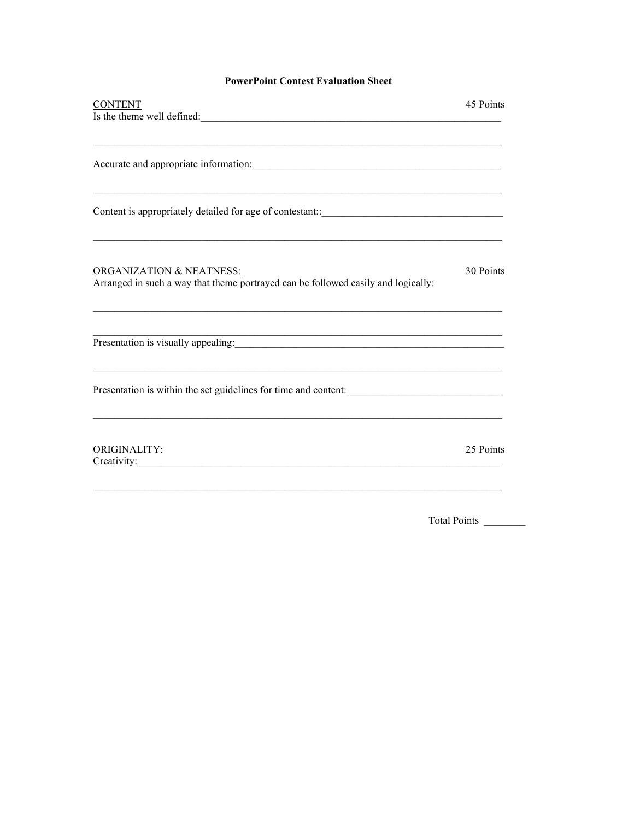### **PowerPoint Contest Evaluation Sheet**

| 45 Points                                                       |
|-----------------------------------------------------------------|
|                                                                 |
| Accurate and appropriate information:                           |
|                                                                 |
| 30 Points                                                       |
| Presentation is visually appealing:                             |
| Presentation is within the set guidelines for time and content: |
| 25 Points                                                       |
|                                                                 |

Total Points